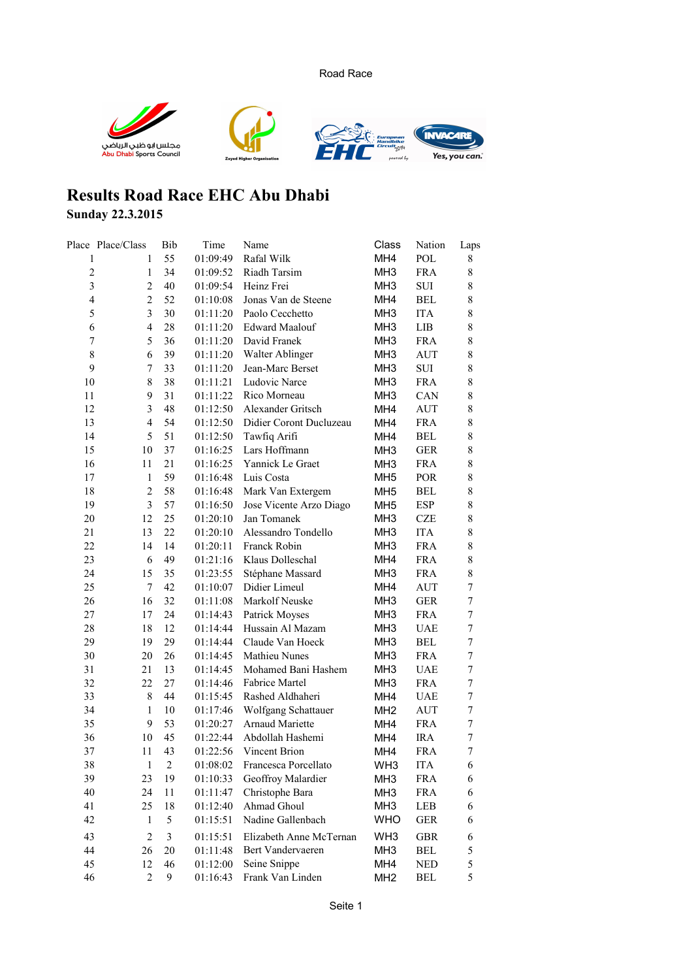Road Race



## **Results Road Race EHC Abu Dhabi**

## **Sunday 22.3.2015**

|                  | Place Place/Class       | Bib                     | Time     | Name                    | Class           | Nation     | Laps             |
|------------------|-------------------------|-------------------------|----------|-------------------------|-----------------|------------|------------------|
| 1                | 1                       | 55                      | 01:09:49 | Rafal Wilk              | MH <sub>4</sub> | POL        | 8                |
| $\overline{c}$   | 1                       | 34                      | 01:09:52 | Riadh Tarsim            | MH <sub>3</sub> | <b>FRA</b> | 8                |
| $\overline{3}$   | $\overline{c}$          | 40                      | 01:09:54 | Heinz Frei              | MH <sub>3</sub> | <b>SUI</b> | 8                |
| $\overline{4}$   | $\overline{c}$          | 52                      | 01:10:08 | Jonas Van de Steene     | MH4             | <b>BEL</b> | 8                |
| 5                | 3                       | 30                      | 01:11:20 | Paolo Cecchetto         | MH <sub>3</sub> | <b>ITA</b> | 8                |
| 6                | $\overline{\mathbf{4}}$ | 28                      | 01:11:20 | <b>Edward Maalouf</b>   | MH <sub>3</sub> | LIB        | 8                |
| $\boldsymbol{7}$ | 5                       | 36                      | 01:11:20 | David Franek            | MH <sub>3</sub> | <b>FRA</b> | $\,$ $\,$        |
| 8                | 6                       | 39                      | 01:11:20 | Walter Ablinger         | MH <sub>3</sub> | <b>AUT</b> | 8                |
| 9                | 7                       | 33                      | 01:11:20 | Jean-Marc Berset        | MH <sub>3</sub> | SUI        | 8                |
| 10               | 8                       | 38                      | 01:11:21 | Ludovic Narce           | MH <sub>3</sub> | <b>FRA</b> | 8                |
| 11               | 9                       | 31                      | 01:11:22 | Rico Morneau            | MH <sub>3</sub> | CAN        | 8                |
| 12               | 3                       | 48                      | 01:12:50 | Alexander Gritsch       | MH <sub>4</sub> | <b>AUT</b> | 8                |
| 13               | $\overline{4}$          | 54                      | 01:12:50 | Didier Coront Ducluzeau | MH4             | <b>FRA</b> | 8                |
| 14               | 5                       | 51                      | 01:12:50 | Tawfiq Arifi            | MH4             | <b>BEL</b> | 8                |
| 15               | 10                      | 37                      | 01:16:25 | Lars Hoffmann           | MH <sub>3</sub> | <b>GER</b> | 8                |
| 16               | 11                      | 21                      | 01:16:25 | Yannick Le Graet        | MH <sub>3</sub> | <b>FRA</b> | 8                |
| 17               | 1                       | 59                      | 01:16:48 | Luis Costa              | MH <sub>5</sub> | <b>POR</b> | 8                |
| 18               | $\overline{c}$          | 58                      | 01:16:48 | Mark Van Extergem       | MH <sub>5</sub> | BEL        | 8                |
| 19               | 3                       | 57                      | 01:16:50 | Jose Vicente Arzo Diago | MH <sub>5</sub> | <b>ESP</b> | 8                |
| 20               | 12                      | 25                      | 01:20:10 | Jan Tomanek             | MH <sub>3</sub> | <b>CZE</b> | 8                |
| 21               | 13                      | 22                      | 01:20:10 | Alessandro Tondello     | MH <sub>3</sub> | <b>ITA</b> | 8                |
| 22               | 14                      | 14                      | 01:20:11 | Franck Robin            | MH <sub>3</sub> | <b>FRA</b> | 8                |
| 23               | 6                       | 49                      | 01:21:16 | Klaus Dolleschal        | MH4             | <b>FRA</b> | 8                |
| 24               | 15                      | 35                      | 01:23:55 | Stéphane Massard        | MH <sub>3</sub> | <b>FRA</b> | $\,$ $\,$        |
| 25               | 7                       | 42                      | 01:10:07 | Didier Limeul           | MH4             | AUT        | $\boldsymbol{7}$ |
| 26               | 16                      | 32                      | 01:11:08 | Markolf Neuske          | MH <sub>3</sub> | <b>GER</b> | 7                |
| 27               | 17                      | 24                      | 01:14:43 | Patrick Moyses          | MH <sub>3</sub> | <b>FRA</b> | $\boldsymbol{7}$ |
| 28               | 18                      | 12                      | 01:14:44 | Hussain Al Mazam        | MH <sub>3</sub> | <b>UAE</b> | $\boldsymbol{7}$ |
| 29               | 19                      | 29                      | 01:14:44 | Claude Van Hoeck        | MH <sub>3</sub> | <b>BEL</b> | $\boldsymbol{7}$ |
| 30               | 20                      | 26                      | 01:14:45 | <b>Mathieu Nunes</b>    | MH <sub>3</sub> | <b>FRA</b> | $\tau$           |
| 31               | 21                      | 13                      | 01:14:45 | Mohamed Bani Hashem     | MH <sub>3</sub> | <b>UAE</b> | $\tau$           |
| 32               | 22                      | 27                      | 01:14:46 | <b>Fabrice Martel</b>   | MH <sub>3</sub> | <b>FRA</b> | $\tau$           |
| 33               | 8                       | 44                      | 01:15:45 | Rashed Aldhaheri        | MH4             | <b>UAE</b> | $\boldsymbol{7}$ |
| 34               | $\mathbf{1}$            | 10                      | 01:17:46 | Wolfgang Schattauer     | MH <sub>2</sub> | AUT        | $\boldsymbol{7}$ |
| 35               | 9                       | 53                      | 01:20:27 | Arnaud Mariette         | MH4             | <b>FRA</b> | $\boldsymbol{7}$ |
| 36               | 10                      | 45                      | 01:22:44 | Abdollah Hashemi        | MH <sub>4</sub> | <b>IRA</b> | $\sqrt{ }$       |
| 37               | 11                      | 43                      | 01:22:56 | Vincent Brion           | MH <sub>4</sub> | <b>FRA</b> | $\sqrt{ }$       |
| 38               | 1                       | $\overline{c}$          | 01:08:02 | Francesca Porcellato    | WH <sub>3</sub> | <b>ITA</b> | 6                |
| 39               | 23                      | 19                      | 01:10:33 | Geoffroy Malardier      | MH <sub>3</sub> | <b>FRA</b> | 6                |
| 40               | 24                      | 11                      | 01:11:47 | Christophe Bara         | MH <sub>3</sub> | <b>FRA</b> | 6                |
| 41               | 25                      | 18                      | 01:12:40 | Ahmad Ghoul             | MH <sub>3</sub> | LEB        | 6                |
| 42               | 1                       | 5                       | 01:15:51 | Nadine Gallenbach       | <b>WHO</b>      | <b>GER</b> | 6                |
| 43               | $\overline{c}$          | $\overline{\mathbf{3}}$ | 01:15:51 | Elizabeth Anne McTernan | WH <sub>3</sub> | GBR        | 6                |
| 44               | 26                      | 20                      | 01:11:48 | Bert Vandervaeren       | MH <sub>3</sub> | <b>BEL</b> | 5                |
| 45               | 12                      | 46                      | 01:12:00 | Seine Snippe            | MH <sub>4</sub> | <b>NED</b> | 5                |
| 46               | $\overline{c}$          | 9                       | 01:16:43 | Frank Van Linden        | MH <sub>2</sub> | <b>BEL</b> | 5                |